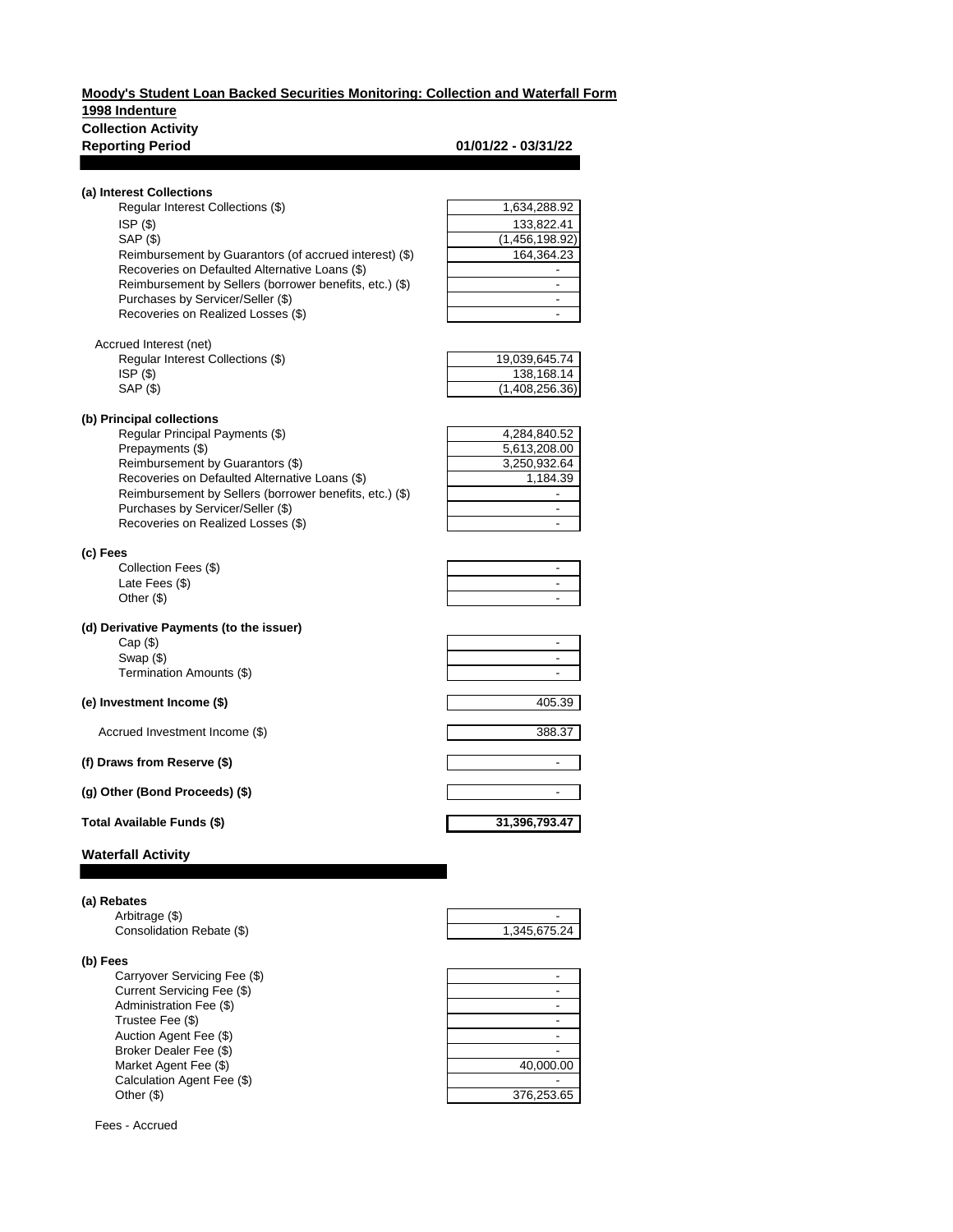## **Moody's Student Loan Backed Securities Monitoring: Collection and Waterfall Form 1998 Indenture**

# **Collection Activity**

**Reporting Period 01/01/22 - 03/31/22**

Regular Interest Collections (\$) ISP (\$) 133,822.41 SAP (\$) (1,456,198.92) Reimbursement by Guarantors (of accrued interest) (\$) Recoveries on Defaulted Alternative Loans (\$) Reimbursement by Sellers (borrower benefits, etc.) (\$) - Purchases by Servicer/Seller (\$) Recoveries on Realized Losses (\$)

| 1,634,288.92<br>133,822.41<br>(1,456,198.92) |
|----------------------------------------------|
|                                              |
|                                              |
|                                              |
| 164.364.23                                   |
|                                              |
|                                              |
|                                              |
|                                              |

138,168.14

| Accrued Interest (net)            |               |
|-----------------------------------|---------------|
| Regular Interest Collections (\$) | 19,039,645.74 |

| $ISP($ \$) | 138,168.14     |
|------------|----------------|
| SAP (\$)   | (1,408,256.36) |

#### **(b) Principal collections**

Regular Principal Payments (\$)  $\overline{4,284,840.52}$ <br>Prepayments (\$)  $\overline{5,613,208.00}$ Prepayments (\$) Reimbursement by Guarantors (\$) 3,250,932.64 Recoveries on Defaulted Alternative Loans (\$) 1,184.39 Reimbursement by Sellers (borrower benefits, etc.) (\$) Purchases by Servicer/Seller (\$) Recoveries on Realized Losses (\$)

#### **(c) Fees**

Collection Fees (\$) Late Fees (\$) Other  $(\$)$ 

| the control of the control of the control of the control of the control of the control of                                                                                                                                     |                         |
|-------------------------------------------------------------------------------------------------------------------------------------------------------------------------------------------------------------------------------|-------------------------|
| the contract of the contract of the contract of the contract of the contract of                                                                                                                                               | --                      |
| the control of the control of the control of the control of the control of                                                                                                                                                    | -<br>the control of the |
| the control of the control of the control of the control of the control of the control of the control of the control of the control of the control of the control of the control of the control of the control of the control | -                       |
|                                                                                                                                                                                                                               |                         |

| (d) Derivative Payments (to the issuer) |  |
|-----------------------------------------|--|
| Cap(S)                                  |  |

Swap $($ \$) Termination Amounts (\$) -

### **(e) Investment Income (\$)** 405.39

Accrued Investment Income (\$) 388.37

#### **(f) Draws from Reserve (\$)** -

#### **(g) Other (Bond Proceeds) (\$)** -

#### Total Available Funds (\$) 31,396,793.47

### **Waterfall Activity**

### **(a) Rebates**

Arbitrage (\$) Consolidation Rebate (\$)

#### **(b) Fees**

| Carryover Servicing Fee (\$) |            |
|------------------------------|------------|
| Current Servicing Fee (\$)   |            |
| Administration Fee (\$)      |            |
| Trustee Fee (\$)             |            |
| Auction Agent Fee (\$)       |            |
| Broker Dealer Fee (\$)       |            |
| Market Agent Fee (\$)        | 40.000.00  |
| Calculation Agent Fee (\$)   |            |
| Other $($ \$)                | 376.253.65 |
|                              |            |

Fees - Accrued

| 345,675.24 |
|------------|
|            |

| 40,000.00  |
|------------|
|            |
| 376.253.65 |